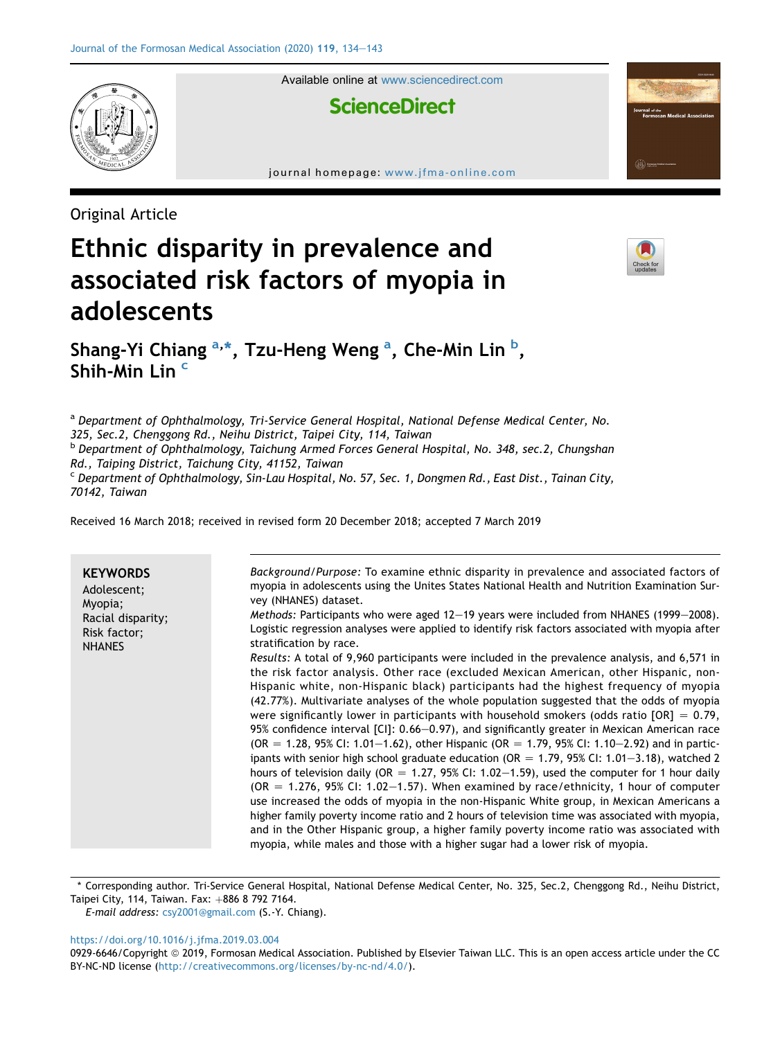

Available online at [www.sciencedirect.com](www.sciencedirect.com/science/journal/09296646)

# **ScienceDirect**

journal homepage: [www.jfma-online.com](http://www.jfma-online.com)

Original Article

# Ethnic disparity in prevalence and associated risk factors of myopia in adolescents



Shang-Yi Chiang <sup>a,\*</sup>, Tzu-Heng Weng <sup>a</sup>, Che-Min Lin <sup>b</sup>, Shih-Min Lin<sup>c</sup>

a Department of Ophthalmology, Tri-Service General Hospital, National Defense Medical Center, No. 325, Sec.2, Chenggong Rd., Neihu District, Taipei City, 114, Taiwan <sup>b</sup> Department of Ophthalmology, Taichung Armed Forces General Hospital, No. 348, sec.2, Chungshan Rd., Taiping District, Taichung City, 41152, Taiwan <sup>c</sup> Department of Ophthalmology, Sin-Lau Hospital, No. 57, Sec. 1, Dongmen Rd., East Dist., Tainan City, 70142, Taiwan

Received 16 March 2018; received in revised form 20 December 2018; accepted 7 March 2019

| <b>KEYWORDS</b><br>Adolescent;<br>Myopia;<br>Racial disparity;<br>Risk factor;<br><b>NHANES</b> | Background/Purpose: To examine ethnic disparity in prevalence and associated factors of<br>myopia in adolescents using the Unites States National Health and Nutrition Examination Sur-<br>vey (NHANES) dataset.<br>Methods: Participants who were aged 12-19 years were included from NHANES (1999-2008).<br>Logistic regression analyses were applied to identify risk factors associated with myopia after<br>stratification by race.<br>Results: A total of 9,960 participants were included in the prevalence analysis, and 6,571 in<br>the risk factor analysis. Other race (excluded Mexican American, other Hispanic, non-<br>Hispanic white, non-Hispanic black) participants had the highest frequency of myopia<br>(42.77%). Multivariate analyses of the whole population suggested that the odds of myopia<br>were significantly lower in participants with household smokers (odds ratio $[OR] = 0.79$ ,<br>95% confidence interval [CI]: 0.66–0.97), and significantly greater in Mexican American race<br>$(OR = 1.28, 95\%$ CI: 1.01–1.62), other Hispanic (OR = 1.79, 95% CI: 1.10–2.92) and in partic-<br>ipants with senior high school graduate education (OR = $1.79$ , 95% CI: $1.01-3.18$ ), watched 2<br>hours of television daily (OR = 1.27, 95% CI: 1.02-1.59), used the computer for 1 hour daily<br>$(OR = 1.276, 95\% CI: 1.02-1.57)$ . When examined by race/ethnicity, 1 hour of computer<br>use increased the odds of myopia in the non-Hispanic White group, in Mexican Americans a |
|-------------------------------------------------------------------------------------------------|------------------------------------------------------------------------------------------------------------------------------------------------------------------------------------------------------------------------------------------------------------------------------------------------------------------------------------------------------------------------------------------------------------------------------------------------------------------------------------------------------------------------------------------------------------------------------------------------------------------------------------------------------------------------------------------------------------------------------------------------------------------------------------------------------------------------------------------------------------------------------------------------------------------------------------------------------------------------------------------------------------------------------------------------------------------------------------------------------------------------------------------------------------------------------------------------------------------------------------------------------------------------------------------------------------------------------------------------------------------------------------------------------------------------------------------------------------------------------------------------------------------------|
|                                                                                                 | higher family poverty income ratio and 2 hours of television time was associated with myopia,<br>and in the Other Hispanic group, a higher family poverty income ratio was associated with<br>myopia, while males and those with a higher sugar had a lower risk of myopia.                                                                                                                                                                                                                                                                                                                                                                                                                                                                                                                                                                                                                                                                                                                                                                                                                                                                                                                                                                                                                                                                                                                                                                                                                                            |

\* Corresponding author. Tri-Service General Hospital, National Defense Medical Center, No. 325, Sec.2, Chenggong Rd., Neihu District, Taipei City, 114, Taiwan. Fax: +886 8 792 7164.

E-mail address: [csy2001@gmail.com](mailto:csy2001@gmail.com) (S.-Y. Chiang).

<https://doi.org/10.1016/j.jfma.2019.03.004>

<sup>0929-6646/</sup>Copyright © 2019, Formosan Medical Association. Published by Elsevier Taiwan LLC. This is an open access article under the CC BY-NC-ND license [\(http://creativecommons.org/licenses/by-nc-nd/4.0/\)](http://creativecommons.org/licenses/by-nc-nd/4.0/).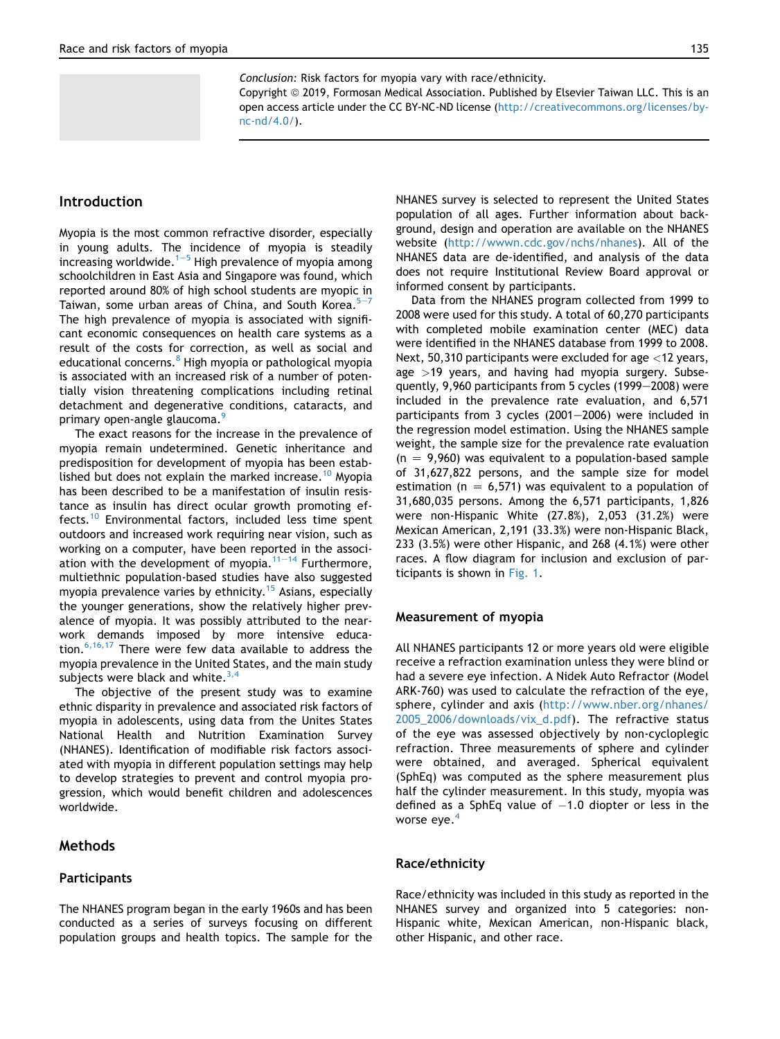Conclusion: Risk factors for myopia vary with race/ethnicity.

Copyright © 2019, Formosan Medical Association. Published by Elsevier Taiwan LLC. This is an open access article under the CC BY-NC-ND license [\(http://creativecommons.org/licenses/by](http://creativecommons.org/licenses/by-nc-nd/4.0/)[nc-nd/4.0/](http://creativecommons.org/licenses/by-nc-nd/4.0/)).

# Introduction

Myopia is the most common refractive disorder, especially in young adults. The incidence of myopia is steadily increasing worldwide.<sup>[1](#page-8-0)-[5](#page-8-0)</sup> High prevalence of myopia among schoolchildren in East Asia and Singapore was found, which reported around 80% of high school students are myopic in Taiwan, some urban areas of China, and South Korea. $5-7$  $5-7$  $5-7$ The high prevalence of myopia is associated with significant economic consequences on health care systems as a result of the costs for correction, as well as social and educational concerns.<sup>[8](#page-9-0)</sup> High myopia or pathological myopia is associated with an increased risk of a number of potentially vision threatening complications including retinal detachment and degenerative conditions, cataracts, and primary open-angle glaucoma.<sup>[9](#page-9-0)</sup>

The exact reasons for the increase in the prevalence of myopia remain undetermined. Genetic inheritance and predisposition for development of myopia has been estab-lished but does not explain the marked increase.<sup>[10](#page-9-0)</sup> Myopia has been described to be a manifestation of insulin resistance as insulin has direct ocular growth promoting effects.[10](#page-9-0) Environmental factors, included less time spent outdoors and increased work requiring near vision, such as working on a computer, have been reported in the association with the development of myopia. $11-14$  $11-14$  $11-14$  Furthermore, multiethnic population-based studies have also suggested myopia prevalence varies by ethnicity.<sup>[15](#page-9-0)</sup> Asians, especially the younger generations, show the relatively higher prevalence of myopia. It was possibly attributed to the nearwork demands imposed by more intensive education. $6,16,17$  There were few data available to address the myopia prevalence in the United States, and the main study subjects were black and white. $3,4$ 

The objective of the present study was to examine ethnic disparity in prevalence and associated risk factors of myopia in adolescents, using data from the Unites States National Health and Nutrition Examination Survey (NHANES). Identification of modifiable risk factors associated with myopia in different population settings may help to develop strategies to prevent and control myopia progression, which would benefit children and adolescences worldwide.

# Methods

#### Participants

The NHANES program began in the early 1960s and has been conducted as a series of surveys focusing on different population groups and health topics. The sample for the NHANES survey is selected to represent the United States population of all ages. Further information about background, design and operation are available on the NHANES website [\(http://wwwn.cdc.gov/nchs/nhanes\)](http://wwwn.cdc.gov/nchs/nhanes). All of the NHANES data are de-identified, and analysis of the data does not require Institutional Review Board approval or informed consent by participants.

Data from the NHANES program collected from 1999 to 2008 were used for this study. A total of 60,270 participants with completed mobile examination center (MEC) data were identified in the NHANES database from 1999 to 2008. Next, 50,310 participants were excluded for age <12 years, age  $>19$  years, and having had myopia surgery. Subsequently, 9,960 participants from 5 cycles (1999–2008) were included in the prevalence rate evaluation, and 6,571 participants from 3 cycles (2001 $-$ 2006) were included in the regression model estimation. Using the NHANES sample weight, the sample size for the prevalence rate evaluation  $(n = 9,960)$  was equivalent to a population-based sample of 31,627,822 persons, and the sample size for model estimation (n = 6,571) was equivalent to a population of 31,680,035 persons. Among the 6,571 participants, 1,826 were non-Hispanic White (27.8%), 2,053 (31.2%) were Mexican American, 2,191 (33.3%) were non-Hispanic Black, 233 (3.5%) were other Hispanic, and 268 (4.1%) were other races. A flow diagram for inclusion and exclusion of participants is shown in [Fig. 1.](#page-2-0)

#### Measurement of myopia

All NHANES participants 12 or more years old were eligible receive a refraction examination unless they were blind or had a severe eye infection. A Nidek Auto Refractor (Model ARK-760) was used to calculate the refraction of the eye, sphere, cylinder and axis ([http://www.nber.org/nhanes/](http://www.nber.org/nhanes/2005_2006/downloads/vix_d.pdf) [2005\\_2006/downloads/vix\\_d.pdf\)](http://www.nber.org/nhanes/2005_2006/downloads/vix_d.pdf). The refractive status of the eye was assessed objectively by non-cycloplegic refraction. Three measurements of sphere and cylinder were obtained, and averaged. Spherical equivalent (SphEq) was computed as the sphere measurement plus half the cylinder measurement. In this study, myopia was defined as a SphEq value of  $-1.0$  diopter or less in the worse eye.<sup>[4](#page-8-0)</sup>

#### Race/ethnicity

Race/ethnicity was included in this study as reported in the NHANES survey and organized into 5 categories: non-Hispanic white, Mexican American, non-Hispanic black, other Hispanic, and other race.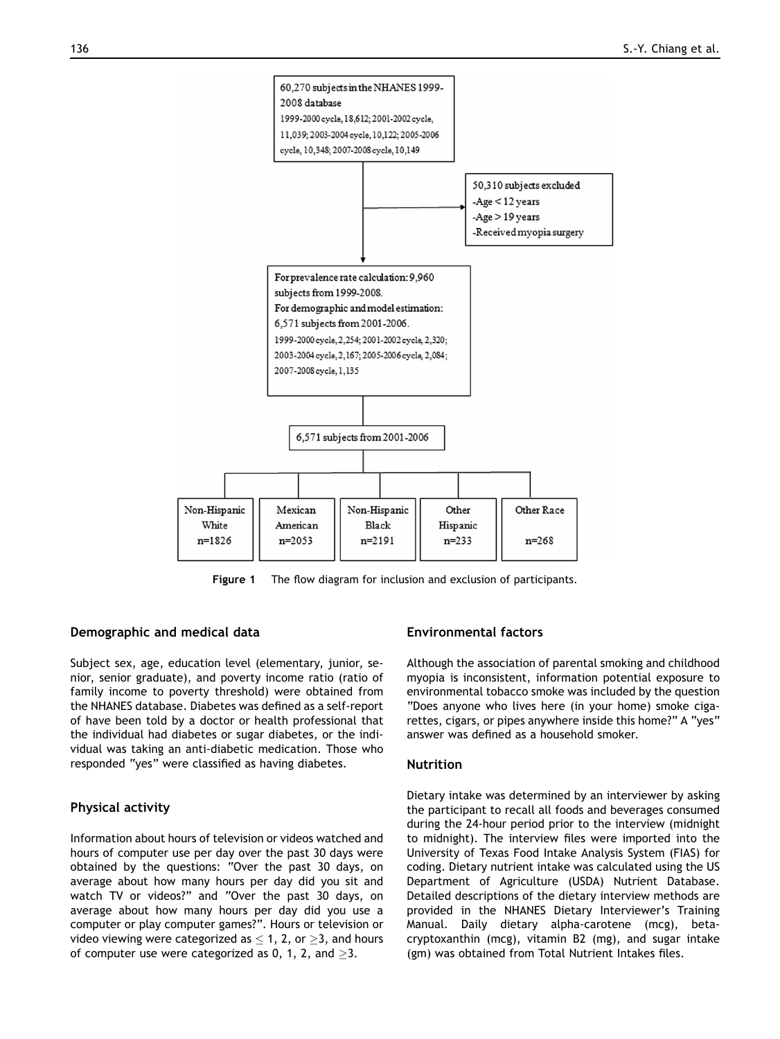<span id="page-2-0"></span>

Figure 1 The flow diagram for inclusion and exclusion of participants.

#### Demographic and medical data

Subject sex, age, education level (elementary, junior, senior, senior graduate), and poverty income ratio (ratio of family income to poverty threshold) were obtained from the NHANES database. Diabetes was defined as a self-report of have been told by a doctor or health professional that the individual had diabetes or sugar diabetes, or the individual was taking an anti-diabetic medication. Those who responded "yes" were classified as having diabetes.

# Physical activity

Information about hours of television or videos watched and hours of computer use per day over the past 30 days were obtained by the questions: "Over the past 30 days, on average about how many hours per day did you sit and watch TV or videos?" and "Over the past 30 days, on average about how many hours per day did you use a computer or play computer games?". Hours or television or video viewing were categorized as  $\leq 1$ , 2, or  $\geq 3$ , and hours of computer use were categorized as 0, 1, 2, and  $\geq$ 3.

# Environmental factors

Although the association of parental smoking and childhood myopia is inconsistent, information potential exposure to environmental tobacco smoke was included by the question "Does anyone who lives here (in your home) smoke cigarettes, cigars, or pipes anywhere inside this home?" A "yes" answer was defined as a household smoker.

#### Nutrition

Dietary intake was determined by an interviewer by asking the participant to recall all foods and beverages consumed during the 24-hour period prior to the interview (midnight to midnight). The interview files were imported into the University of Texas Food Intake Analysis System (FIAS) for coding. Dietary nutrient intake was calculated using the US Department of Agriculture (USDA) Nutrient Database. Detailed descriptions of the dietary interview methods are provided in the NHANES Dietary Interviewer's Training Manual. Daily dietary alpha-carotene (mcg), betacryptoxanthin (mcg), vitamin B2 (mg), and sugar intake (gm) was obtained from Total Nutrient Intakes files.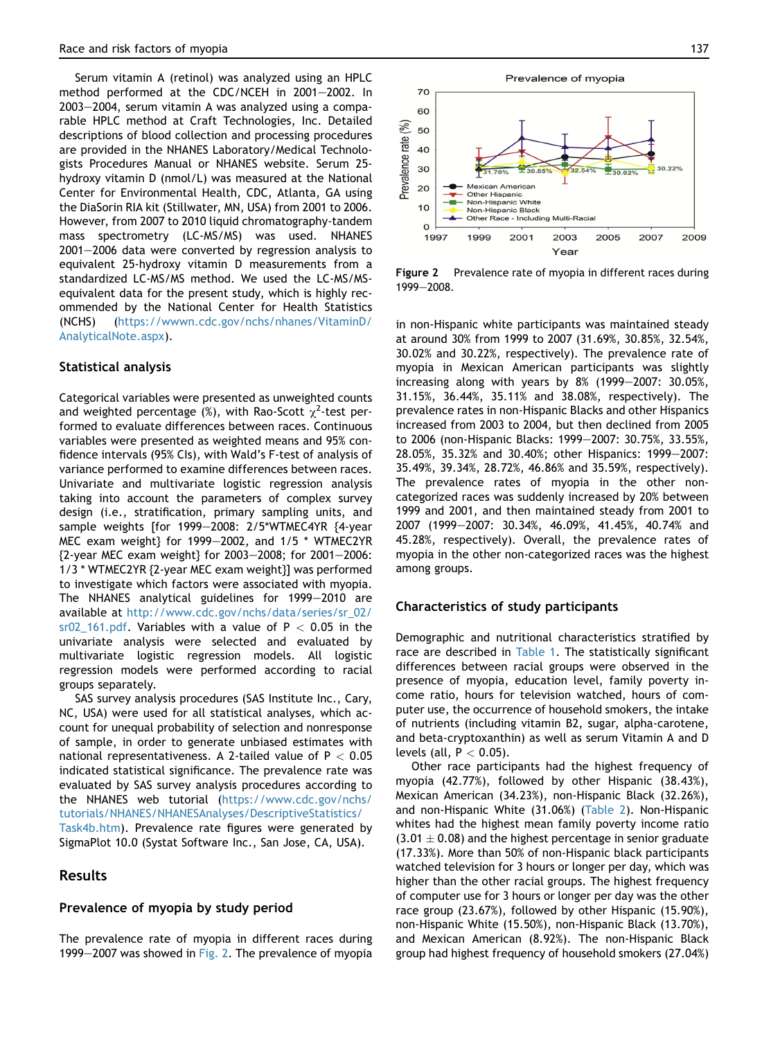Serum vitamin A (retinol) was analyzed using an HPLC method performed at the CDC/NCEH in  $2001-2002$ . In  $2003-2004$ , serum vitamin A was analyzed using a comparable HPLC method at Craft Technologies, Inc. Detailed descriptions of blood collection and processing procedures are provided in the NHANES Laboratory/Medical Technologists Procedures Manual or NHANES website. Serum 25 hydroxy vitamin D (nmol/L) was measured at the National Center for Environmental Health, CDC, Atlanta, GA using the DiaSorin RIA kit (Stillwater, MN, USA) from 2001 to 2006. However, from 2007 to 2010 liquid chromatography-tandem mass spectrometry (LC-MS/MS) was used. NHANES 2001-2006 data were converted by regression analysis to equivalent 25-hydroxy vitamin D measurements from a standardized LC-MS/MS method. We used the LC-MS/MSequivalent data for the present study, which is highly recommended by the National Center for Health Statistics (NCHS) [\(https://wwwn.cdc.gov/nchs/nhanes/VitaminD/](https://wwwn.cdc.gov/nchs/nhanes/VitaminD/AnalyticalNote.aspx) [AnalyticalNote.aspx\)](https://wwwn.cdc.gov/nchs/nhanes/VitaminD/AnalyticalNote.aspx).

#### Statistical analysis

Categorical variables were presented as unweighted counts and weighted percentage (%), with Rao-Scott  $\chi^2$ -test performed to evaluate differences between races. Continuous variables were presented as weighted means and 95% confidence intervals (95% CIs), with Wald's F-test of analysis of variance performed to examine differences between races. Univariate and multivariate logistic regression analysis taking into account the parameters of complex survey design (i.e., stratification, primary sampling units, and sample weights [for 1999-2008: 2/5\*WTMEC4YR {4-year MEC exam weight} for 1999-2002, and 1/5  $*$  WTMEC2YR  ${2-year MEC}$  exam weight} for 2003-2008; for 2001-2006: 1/3 \* WTMEC2YR {2-year MEC exam weight}] was performed to investigate which factors were associated with myopia. The NHANES analytical guidelines for 1999-2010 are available at [http://www.cdc.gov/nchs/data/series/sr\\_02/](http://www.cdc.gov/nchs/data/series/sr_02/sr02_161.pdf) [sr02\\_161.pdf](http://www.cdc.gov/nchs/data/series/sr_02/sr02_161.pdf). Variables with a value of  $P < 0.05$  in the univariate analysis were selected and evaluated by multivariate logistic regression models. All logistic regression models were performed according to racial groups separately.

SAS survey analysis procedures (SAS Institute Inc., Cary, NC, USA) were used for all statistical analyses, which account for unequal probability of selection and nonresponse of sample, in order to generate unbiased estimates with national representativeness. A 2-tailed value of  $P < 0.05$ indicated statistical significance. The prevalence rate was evaluated by SAS survey analysis procedures according to the NHANES web tutorial ([https://www.cdc.gov/nchs/](https://www.cdc.gov/nchs/tutorials/NHANES/NHANESAnalyses/DescriptiveStatistics/Task4b.htm) [tutorials/NHANES/NHANESAnalyses/DescriptiveStatistics/](https://www.cdc.gov/nchs/tutorials/NHANES/NHANESAnalyses/DescriptiveStatistics/Task4b.htm) [Task4b.htm](https://www.cdc.gov/nchs/tutorials/NHANES/NHANESAnalyses/DescriptiveStatistics/Task4b.htm)). Prevalence rate figures were generated by SigmaPlot 10.0 (Systat Software Inc., San Jose, CA, USA).

# Results

# Prevalence of myopia by study period

The prevalence rate of myopia in different races during 1999 $-2007$  was showed in Fig. 2. The prevalence of myopia



Figure 2 Prevalence rate of myopia in different races during 1999-2008.

in non-Hispanic white participants was maintained steady at around 30% from 1999 to 2007 (31.69%, 30.85%, 32.54%, 30.02% and 30.22%, respectively). The prevalence rate of myopia in Mexican American participants was slightly increasing along with years by  $8\%$  (1999-2007: 30.05%, 31.15%, 36.44%, 35.11% and 38.08%, respectively). The prevalence rates in non-Hispanic Blacks and other Hispanics increased from 2003 to 2004, but then declined from 2005 to 2006 (non-Hispanic Blacks: 1999-2007: 30.75%, 33.55%, 28.05%, 35.32% and 30.40%; other Hispanics: 1999-2007: 35.49%, 39.34%, 28.72%, 46.86% and 35.59%, respectively). The prevalence rates of myopia in the other noncategorized races was suddenly increased by 20% between 1999 and 2001, and then maintained steady from 2001 to 2007 (1999-2007: 30.34%, 46.09%, 41.45%, 40.74% and 45.28%, respectively). Overall, the prevalence rates of myopia in the other non-categorized races was the highest among groups.

#### Characteristics of study participants

Demographic and nutritional characteristics stratified by race are described in [Table 1.](#page-4-0) The statistically significant differences between racial groups were observed in the presence of myopia, education level, family poverty income ratio, hours for television watched, hours of computer use, the occurrence of household smokers, the intake of nutrients (including vitamin B2, sugar, alpha-carotene, and beta-cryptoxanthin) as well as serum Vitamin A and D levels (all,  $P < 0.05$ ).

Other race participants had the highest frequency of myopia (42.77%), followed by other Hispanic (38.43%), Mexican American (34.23%), non-Hispanic Black (32.26%), and non-Hispanic White (31.06%) ([Table 2](#page-5-0)). Non-Hispanic whites had the highest mean family poverty income ratio  $(3.01 \pm 0.08)$  and the highest percentage in senior graduate (17.33%). More than 50% of non-Hispanic black participants watched television for 3 hours or longer per day, which was higher than the other racial groups. The highest frequency of computer use for 3 hours or longer per day was the other race group (23.67%), followed by other Hispanic (15.90%), non-Hispanic White (15.50%), non-Hispanic Black (13.70%), and Mexican American (8.92%). The non-Hispanic Black group had highest frequency of household smokers (27.04%)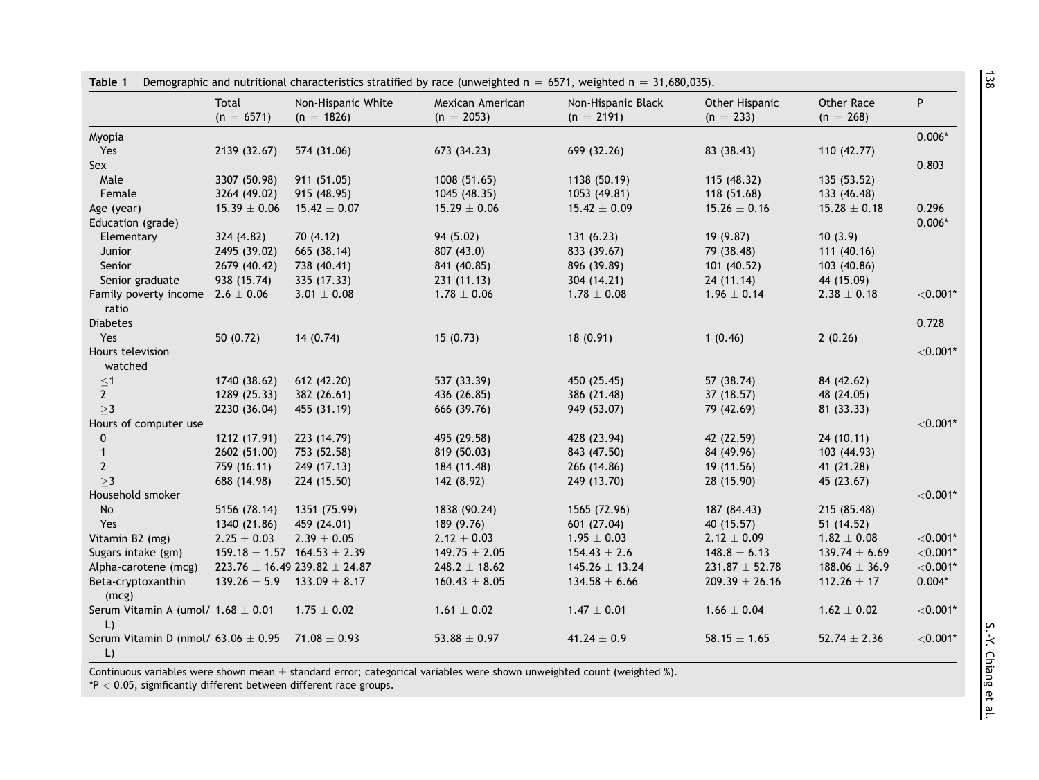<span id="page-4-0"></span>

|                                         | Total            | Non-Hispanic White                  | Mexican American  | Non-Hispanic Black | Other Hispanic     | Other Race        | P           |
|-----------------------------------------|------------------|-------------------------------------|-------------------|--------------------|--------------------|-------------------|-------------|
|                                         | $(n = 6571)$     | $(n = 1826)$                        | $(n = 2053)$      | $(n = 2191)$       | $(n = 233)$        | $(n = 268)$       |             |
| Myopia                                  |                  |                                     |                   |                    |                    |                   | $0.006*$    |
| Yes                                     | 2139 (32.67)     | 574 (31.06)                         | 673 (34.23)       | 699 (32.26)        | 83 (38.43)         | 110 (42.77)       |             |
| Sex                                     |                  |                                     |                   |                    |                    |                   | 0.803       |
| Male                                    | 3307 (50.98)     | 911 (51.05)                         | 1008 (51.65)      | 1138 (50.19)       | 115 (48.32)        | 135 (53.52)       |             |
| Female                                  | 3264 (49.02)     | 915 (48.95)                         | 1045 (48.35)      | 1053 (49.81)       | 118 (51.68)        | 133 (46.48)       |             |
| Age (year)                              | $15.39 \pm 0.06$ | $15.42 \pm 0.07$                    | $15.29 \pm 0.06$  | $15.42 \pm 0.09$   | $15.26 \pm 0.16$   | $15.28 \pm 0.18$  | 0.296       |
| Education (grade)                       |                  |                                     |                   |                    |                    |                   | $0.006*$    |
| Elementary                              | 324 (4.82)       | 70 (4.12)                           | 94 (5.02)         | 131(6.23)          | 19(9.87)           | 10(3.9)           |             |
| <b>Junior</b>                           | 2495 (39.02)     | 665 (38.14)                         | 807 (43.0)        | 833 (39.67)        | 79 (38.48)         | 111 (40.16)       |             |
| Senior                                  | 2679 (40.42)     | 738 (40.41)                         | 841 (40.85)       | 896 (39.89)        | 101 (40.52)        | 103 (40.86)       |             |
| Senior graduate                         | 938 (15.74)      | 335 (17.33)                         | 231(11.13)        | 304 (14.21)        | 24(11.14)          | 44 (15.09)        |             |
| Family poverty income $2.6 \pm 0.06$    |                  | $3.01\pm0.08$                       | $1.78 \pm 0.06$   | $1.78 \pm 0.08$    | $1.96 \pm 0.14$    | $2.38\pm0.18$     | $<$ 0.001*  |
| ratio                                   |                  |                                     |                   |                    |                    |                   |             |
| <b>Diabetes</b>                         |                  |                                     |                   |                    |                    |                   | 0.728       |
| Yes                                     | 50(0.72)         | 14(0.74)                            | 15(0.73)          | 18(0.91)           | 1(0.46)            | 2(0.26)           |             |
| Hours television                        |                  |                                     |                   |                    |                    |                   | $<$ 0.001*  |
| watched                                 |                  |                                     |                   |                    |                    |                   |             |
| $\leq$ 1                                | 1740 (38.62)     | 612 (42.20)                         | 537 (33.39)       | 450 (25.45)        | 57 (38.74)         | 84 (42.62)        |             |
| $\overline{2}$                          | 1289 (25.33)     | 382 (26.61)                         | 436 (26.85)       | 386 (21.48)        | 37 (18.57)         | 48 (24.05)        |             |
| >3                                      | 2230 (36.04)     | 455 (31.19)                         | 666 (39.76)       | 949 (53.07)        | 79 (42.69)         | 81 (33.33)        |             |
| Hours of computer use                   |                  |                                     |                   |                    |                    |                   | ${<}0.001*$ |
| $\mathbf 0$                             | 1212 (17.91)     | 223 (14.79)                         | 495 (29.58)       | 428 (23.94)        | 42 (22.59)         | 24(10.11)         |             |
| $\mathbf{1}$                            | 2602 (51.00)     | 753 (52.58)                         | 819 (50.03)       | 843 (47.50)        | 84 (49.96)         | 103 (44.93)       |             |
| $\mathbf{2}$                            | 759 (16.11)      | 249 (17.13)                         | 184 (11.48)       | 266 (14.86)        | 19(11.56)          | 41 (21.28)        |             |
| >3                                      | 688 (14.98)      | 224 (15.50)                         | 142 (8.92)        | 249 (13.70)        | 28 (15.90)         | 45 (23.67)        |             |
| Household smoker                        |                  |                                     |                   |                    |                    |                   | $< 0.001*$  |
| No                                      | 5156 (78.14)     | 1351 (75.99)                        | 1838 (90.24)      | 1565 (72.96)       | 187 (84.43)        | 215 (85.48)       |             |
| Yes                                     | 1340 (21.86)     | 459 (24.01)                         | 189 (9.76)        | 601 (27.04)        | 40 (15.57)         | 51 (14.52)        |             |
| Vitamin B2 (mg)                         | $2.25 \pm 0.03$  | $2.39 \pm 0.05$                     | $2.12 \pm 0.03$   | $1.95 \pm 0.03$    | $2.12 \pm 0.09$    | $1.82 \pm 0.08$   | ${<}0.001*$ |
| Sugars intake (gm)                      |                  | $159.18 \pm 1.57$ 164.53 $\pm$ 2.39 | $149.75 \pm 2.05$ | $154.43 \pm 2.6$   | $148.8 \pm 6.13$   | $139.74 \pm 6.69$ | $<$ 0.001*  |
| Alpha-carotene (mcg)                    |                  | $223.76 \pm 16.49239.82 \pm 24.87$  | $248.2 \pm 18.62$ | $145.26 \pm 13.24$ | $231.87 \pm 52.78$ | $188.06 \pm 36.9$ | $<$ 0.001*  |
| Beta-cryptoxanthin                      |                  | $139.26 \pm 5.9$ 133.09 $\pm$ 8.17  | $160.43 \pm 8.05$ | $134.58 \pm 6.66$  | $209.39 \pm 26.16$ | $112.26 \pm 17$   | $0.004*$    |
| (mcg)                                   |                  |                                     |                   |                    |                    |                   |             |
| Serum Vitamin A (umol/ $1.68 \pm 0.01$  |                  | $1.75 \pm 0.02$                     | $1.61\pm0.02$     | $1.47 \pm 0.01$    | $1.66 \pm 0.04$    | $1.62 \pm 0.02$   | $<$ 0.001*  |
| $\lfloor$                               |                  |                                     |                   |                    |                    |                   |             |
| Serum Vitamin D (nmol/ $63.06 \pm 0.95$ |                  | $71.08 \pm 0.93$                    | $53.88 \pm 0.97$  | $41.24 \pm 0.9$    | $58.15 \pm 1.65$   | $52.74 \pm 2.36$  | $<$ 0.001*  |
| $\mathsf{L}$                            |                  |                                     |                   |                    |                    |                   |             |

Continuous variables were shown mean  $\pm$  standard error; categorical variables were shown unweighted count (weighted %).

 $*P < 0.05$ , significantly different between different race groups.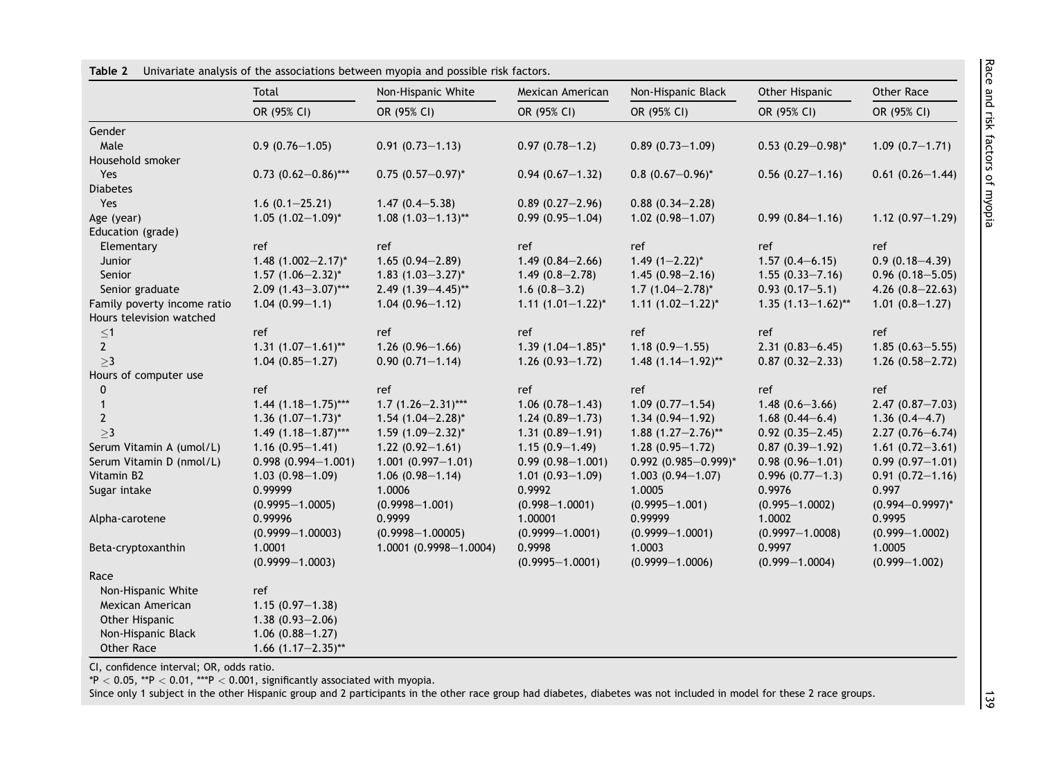|                             | Total                      | Non-Hispanic White        | Mexican American         | Non-Hispanic Black          | Other Hispanic           | Other Race           |
|-----------------------------|----------------------------|---------------------------|--------------------------|-----------------------------|--------------------------|----------------------|
|                             | OR (95% CI)                | OR (95% CI)               | OR (95% CI)              | OR (95% CI)                 | OR (95% CI)              | OR (95% CI)          |
| Gender                      |                            |                           |                          |                             |                          |                      |
| Male                        | $0.9(0.76 - 1.05)$         | $0.91(0.73 - 1.13)$       | $0.97(0.78 - 1.2)$       | $0.89(0.73 - 1.09)$         | $0.53$ $(0.29 - 0.98)^*$ | $1.09(0.7-1.71)$     |
| Household smoker            |                            |                           |                          |                             |                          |                      |
| Yes                         | $0.73$ $(0.62 - 0.86)$ *** | $0.75$ $(0.57 - 0.97)^*$  | $0.94(0.67-1.32)$        | $0.8$ $(0.67 - 0.96)^*$     | $0.56$ $(0.27 - 1.16)$   | $0.61(0.26 - 1.44)$  |
| <b>Diabetes</b>             |                            |                           |                          |                             |                          |                      |
| Yes                         | $1.6(0.1 - 25.21)$         | $1.47(0.4 - 5.38)$        | $0.89(0.27 - 2.96)$      | $0.88(0.34 - 2.28)$         |                          |                      |
| Age (year)                  | $1.05$ $(1.02 - 1.09)^*$   | $1.08$ $(1.03 - 1.13)$ ** | $0.99(0.95 - 1.04)$      | $1.02(0.98 - 1.07)$         | $0.99(0.84 - 1.16)$      | $1.12(0.97 - 1.29)$  |
| Education (grade)           |                            |                           |                          |                             |                          |                      |
| Elementary                  | ref                        | ref                       | ref                      | ref                         | ref                      | ref                  |
| Junior                      | 1.48 $(1.002 - 2.17)^*$    | $1.65(0.94 - 2.89)$       | $1.49(0.84 - 2.66)$      | $1.49$ $(1-2.22)^{*}$       | $1.57(0.4 - 6.15)$       | $0.9(0.18 - 4.39)$   |
| Senior                      | $1.57$ $(1.06 - 2.32)^*$   | 1.83 $(1.03 - 3.27)^*$    | $1.49(0.8 - 2.78)$       | $1.45(0.98 - 2.16)$         | $1.55(0.33 - 7.16)$      | $0.96$ (0.18-5.05)   |
| Senior graduate             | $2.09$ $(1.43 - 3.07)$ *** | $2.49$ (1.39-4.45)**      | $1.6(0.8-3.2)$           | $1.7(1.04 - 2.78)^{*}$      | $0.93(0.17 - 5.1)$       | 4.26 $(0.8-22.63)$   |
| Family poverty income ratio | $1.04(0.99 - 1.1)$         | $1.04(0.96 - 1.12)$       | $1.11 (1.01 - 1.22)^{*}$ | $1.11 (1.02 - 1.22)^*$      | $1.35(1.13 - 1.62)$ **   | $1.01(0.8 - 1.27)$   |
| Hours television watched    |                            |                           |                          |                             |                          |                      |
| ${\leq}1$                   | ref                        | ref                       | ref                      | ref                         | ref                      | ref                  |
| $\mathbf{2}$                | $1.31 (1.07 - 1.61)^{**}$  | $1.26(0.96 - 1.66)$       | $1.39$ $(1.04 - 1.85)^*$ | $1.18(0.9 - 1.55)$          | $2.31(0.83 - 6.45)$      | $1.85(0.63 - 5.55)$  |
| >3                          | $1.04(0.85 - 1.27)$        | $0.90(0.71 - 1.14)$       | $1.26(0.93 - 1.72)$      | $1.48$ $(1.14 - 1.92)$ **   | $0.87(0.32 - 2.33)$      | $1.26(0.58 - 2.72)$  |
| Hours of computer use       |                            |                           |                          |                             |                          |                      |
| 0                           | ref                        | ref                       | ref                      | ref                         | ref                      | ref                  |
| $\mathbf{1}$                | $1.44$ (1.18-1.75)***      | $1.7(1.26 - 2.31)$ ***    | $1.06(0.78 - 1.43)$      | $1.09(0.77 - 1.54)$         | $1.48(0.6 - 3.66)$       | $2.47(0.87 - 7.03)$  |
| $\overline{2}$              | $1.36$ $(1.07-1.73)^{*}$   | $1.54$ (1.04-2.28)*       | $1.24(0.89 - 1.73)$      | $1.34(0.94 - 1.92)$         | $1.68(0.44 - 6.4)$       | $1.36(0.4-4.7)$      |
| >3                          | $1.49$ $(1.18-1.87)$ ***   | $1.59$ $(1.09 - 2.32)^*$  | $1.31(0.89 - 1.91)$      | $1.88$ $(1.27 - 2.76)$ **   | $0.92(0.35 - 2.45)$      | $2.27(0.76 - 6.74)$  |
| Serum Vitamin A (umol/L)    | $1.16(0.95 - 1.41)$        | $1.22(0.92 - 1.61)$       | $1.15(0.9 - 1.49)$       | $1.28(0.95 - 1.72)$         | $0.87(0.39 - 1.92)$      | $1.61(0.72 - 3.61)$  |
| Serum Vitamin D (nmol/L)    | $0.998(0.994 - 1.001)$     | $1.001(0.997 - 1.01)$     | $0.99(0.98 - 1.001)$     | $0.992$ $(0.985 - 0.999)^*$ | $0.98(0.96 - 1.01)$      | $0.99(0.97 - 1.01)$  |
| Vitamin B2                  | $1.03(0.98 - 1.09)$        | $1.06(0.98 - 1.14)$       | $1.01(0.93 - 1.09)$      | $1.003(0.94 - 1.07)$        | $0.996(0.77-1.3)$        | $0.91(0.72 - 1.16)$  |
| Sugar intake                | 0.99999                    | 1.0006                    | 0.9992                   | 1.0005                      | 0.9976                   | 0.997                |
|                             | $(0.9995 - 1.0005)$        | $(0.9998 - 1.001)$        | $(0.998 - 1.0001)$       | $(0.9995 - 1.001)$          | $(0.995 - 1.0002)$       | $(0.994 - 0.9997)^*$ |
| Alpha-carotene              | 0.99996                    | 0.9999                    | 1.00001                  | 0.99999                     | 1.0002                   | 0.9995               |
|                             | $(0.9999 - 1.00003)$       | $(0.9998 - 1.00005)$      | $(0.9999 - 1.0001)$      | $(0.9999 - 1.0001)$         | $(0.9997 - 1.0008)$      | $(0.999 - 1.0002)$   |
| Beta-cryptoxanthin          | 1.0001                     | 1.0001 (0.9998-1.0004)    | 0.9998                   | 1.0003                      | 0.9997                   | 1.0005               |
|                             | $(0.9999 - 1.0003)$        |                           | $(0.9995 - 1.0001)$      | $(0.9999 - 1.0006)$         | $(0.999 - 1.0004)$       | $(0.999 - 1.002)$    |
| Race                        |                            |                           |                          |                             |                          |                      |
| Non-Hispanic White          | ref                        |                           |                          |                             |                          |                      |
| Mexican American            | $1.15(0.97 - 1.38)$        |                           |                          |                             |                          |                      |
| Other Hispanic              | $1.38(0.93 - 2.06)$        |                           |                          |                             |                          |                      |
| Non-Hispanic Black          | $1.06$ $(0.88 - 1.27)$     |                           |                          |                             |                          |                      |
| Other Race                  | 1.66 $(1.17-2.35)$ **      |                           |                          |                             |                          |                      |

<span id="page-5-0"></span>Table 2 Univariate analysis of the associations between myopia and possible risk factors.

CI, confidence interval; OR, odds ratio.

 $*P < 0.05$ ,  $*P < 0.01$ ,  $**P < 0.001$ , significantly associated with myopia.

Since only 1 subject in the other Hispanic group and 2 participants in the other race group had diabetes, diabetes was not included in model for these 2 race groups.

 $\frac{1}{39}$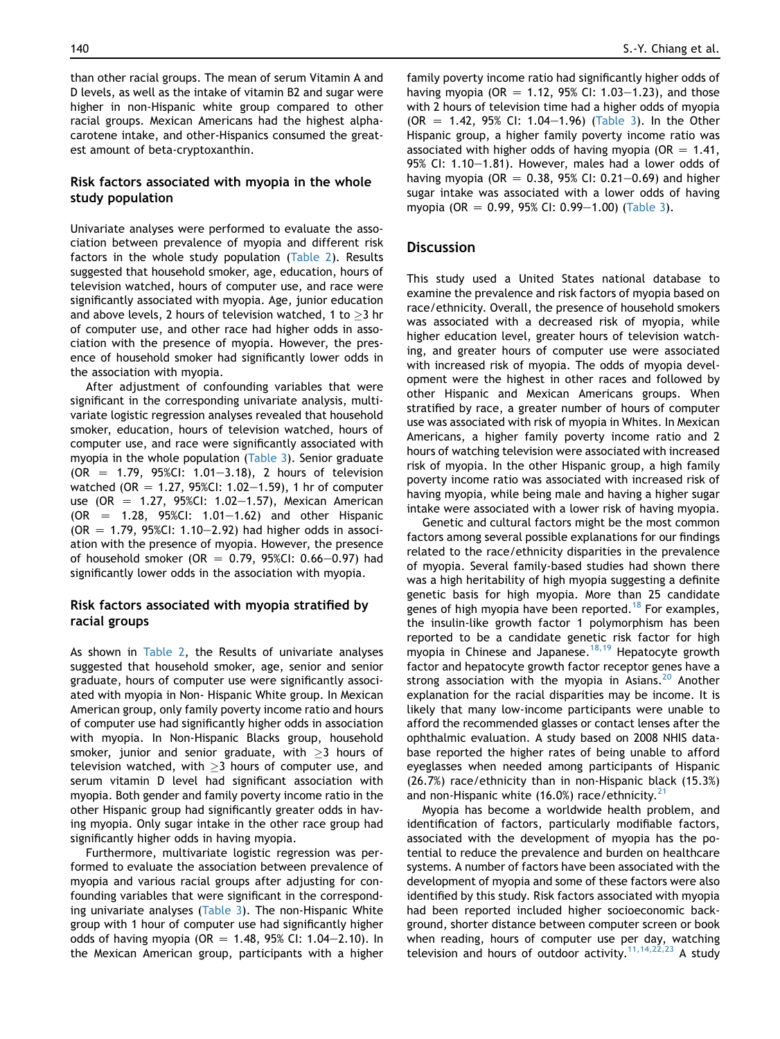than other racial groups. The mean of serum Vitamin A and D levels, as well as the intake of vitamin B2 and sugar were higher in non-Hispanic white group compared to other racial groups. Mexican Americans had the highest alphacarotene intake, and other-Hispanics consumed the greatest amount of beta-cryptoxanthin.

# Risk factors associated with myopia in the whole study population

Univariate analyses were performed to evaluate the association between prevalence of myopia and different risk factors in the whole study population [\(Table 2](#page-5-0)). Results suggested that household smoker, age, education, hours of television watched, hours of computer use, and race were significantly associated with myopia. Age, junior education and above levels, 2 hours of television watched, 1 to  $>$ 3 hr of computer use, and other race had higher odds in association with the presence of myopia. However, the presence of household smoker had significantly lower odds in the association with myopia.

After adjustment of confounding variables that were significant in the corresponding univariate analysis, multivariate logistic regression analyses revealed that household smoker, education, hours of television watched, hours of computer use, and race were significantly associated with myopia in the whole population [\(Table 3](#page-7-0)). Senior graduate  $(OR = 1.79, 95\% CI: 1.01-3.18), 2 hours of television$ watched (OR = 1.27, 95%CI: 1.02-1.59), 1 hr of computer use (OR = 1.27, 95%CI: 1.02-1.57), Mexican American  $(OR = 1.28, 95\% CI: 1.01-1.62)$  and other Hispanic (OR  $=$  1.79, 95%CI: 1.10-2.92) had higher odds in association with the presence of myopia. However, the presence of household smoker (OR = 0.79, 95%CI: 0.66-0.97) had significantly lower odds in the association with myopia.

# Risk factors associated with myopia stratified by racial groups

As shown in [Table 2](#page-5-0), the Results of univariate analyses suggested that household smoker, age, senior and senior graduate, hours of computer use were significantly associated with myopia in Non- Hispanic White group. In Mexican American group, only family poverty income ratio and hours of computer use had significantly higher odds in association with myopia. In Non-Hispanic Blacks group, household smoker, junior and senior graduate, with  $\geq$  hours of television watched, with  $\geq$ 3 hours of computer use, and serum vitamin D level had significant association with myopia. Both gender and family poverty income ratio in the other Hispanic group had significantly greater odds in having myopia. Only sugar intake in the other race group had significantly higher odds in having myopia.

Furthermore, multivariate logistic regression was performed to evaluate the association between prevalence of myopia and various racial groups after adjusting for confounding variables that were significant in the corresponding univariate analyses [\(Table 3\)](#page-7-0). The non-Hispanic White group with 1 hour of computer use had significantly higher odds of having myopia (OR  $= 1.48$ , 95% CI: 1.04-2.10). In the Mexican American group, participants with a higher family poverty income ratio had significantly higher odds of having myopia (OR  $= 1.12$ , 95% CI: 1.03–1.23), and those with 2 hours of television time had a higher odds of myopia  $(OR = 1.42, 95\% \text{ CI: } 1.04-1.96)$  [\(Table 3](#page-7-0)). In the Other Hispanic group, a higher family poverty income ratio was associated with higher odds of having myopia ( $OR = 1.41$ , 95% CI: 1.10 $-1.81$ ). However, males had a lower odds of having myopia (OR = 0.38, 95% CI: 0.21–0.69) and higher sugar intake was associated with a lower odds of having myopia (OR = 0.99, 95% CI: 0.99–1.00) ([Table 3](#page-7-0)).

#### **Discussion**

This study used a United States national database to examine the prevalence and risk factors of myopia based on race/ethnicity. Overall, the presence of household smokers was associated with a decreased risk of myopia, while higher education level, greater hours of television watching, and greater hours of computer use were associated with increased risk of myopia. The odds of myopia development were the highest in other races and followed by other Hispanic and Mexican Americans groups. When stratified by race, a greater number of hours of computer use was associated with risk of myopia in Whites. In Mexican Americans, a higher family poverty income ratio and 2 hours of watching television were associated with increased risk of myopia. In the other Hispanic group, a high family poverty income ratio was associated with increased risk of having myopia, while being male and having a higher sugar intake were associated with a lower risk of having myopia.

Genetic and cultural factors might be the most common factors among several possible explanations for our findings related to the race/ethnicity disparities in the prevalence of myopia. Several family-based studies had shown there was a high heritability of high myopia suggesting a definite genetic basis for high myopia. More than 25 candidate genes of high myopia have been reported.<sup>[18](#page-9-0)</sup> For examples, the insulin-like growth factor 1 polymorphism has been reported to be a candidate genetic risk factor for high myopia in Chinese and Japanese.<sup>[18,19](#page-9-0)</sup> Hepatocyte growth factor and hepatocyte growth factor receptor genes have a strong association with the myopia in Asians. $^{20}$  $^{20}$  $^{20}$  Another explanation for the racial disparities may be income. It is likely that many low-income participants were unable to afford the recommended glasses or contact lenses after the ophthalmic evaluation. A study based on 2008 NHIS database reported the higher rates of being unable to afford eyeglasses when needed among participants of Hispanic (26.7%) race/ethnicity than in non-Hispanic black (15.3%) and non-Hispanic white  $(16.0%)$  race/ethnicity.<sup>[21](#page-9-0)</sup>

Myopia has become a worldwide health problem, and identification of factors, particularly modifiable factors, associated with the development of myopia has the potential to reduce the prevalence and burden on healthcare systems. A number of factors have been associated with the development of myopia and some of these factors were also identified by this study. Risk factors associated with myopia had been reported included higher socioeconomic background, shorter distance between computer screen or book when reading, hours of computer use per day, watching television and hours of outdoor activity.<sup>11,14,22,23</sup> A study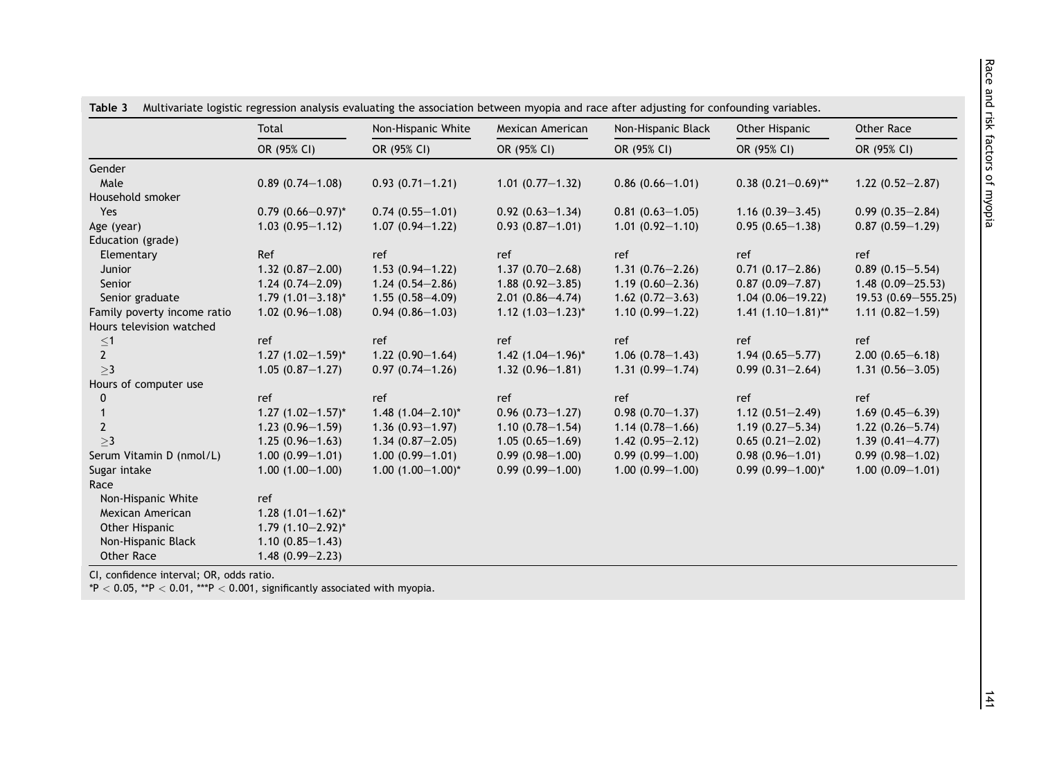|                             | Total                    | Non-Hispanic White       | Mexican American                | Non-Hispanic Black   | Other Hispanic            | Other Race             |  |
|-----------------------------|--------------------------|--------------------------|---------------------------------|----------------------|---------------------------|------------------------|--|
|                             | OR (95% CI)              | OR (95% CI)              | OR (95% CI)                     | OR (95% CI)          | OR (95% CI)               | OR (95% CI)            |  |
| Gender                      |                          |                          |                                 |                      |                           |                        |  |
| Male                        | $0.89(0.74 - 1.08)$      | $0.93(0.71 - 1.21)$      | $1.01 (0.77 - 1.32)$            | $0.86(0.66 - 1.01)$  | $0.38$ $(0.21 - 0.69)$ ** | $1.22(0.52 - 2.87)$    |  |
| Household smoker            |                          |                          |                                 |                      |                           |                        |  |
| Yes                         | $0.79(0.66 - 0.97)^*$    | $0.74(0.55 - 1.01)$      | $0.92(0.63 - 1.34)$             | $0.81(0.63 - 1.05)$  | $1.16(0.39 - 3.45)$       | $0.99(0.35 - 2.84)$    |  |
| Age (year)                  | $1.03(0.95 - 1.12)$      | $1.07(0.94 - 1.22)$      | $0.93(0.87 - 1.01)$             | $1.01(0.92 - 1.10)$  | $0.95(0.65 - 1.38)$       | $0.87(0.59 - 1.29)$    |  |
| Education (grade)           |                          |                          |                                 |                      |                           |                        |  |
| Elementary                  | Ref                      | ref                      | ref                             | ref                  | ref                       | ref                    |  |
| Junior                      | $1.32(0.87 - 2.00)$      | $1.53(0.94 - 1.22)$      | $1.37(0.70 - 2.68)$             | $1.31(0.76 - 2.26)$  | $0.71(0.17-2.86)$         | $0.89(0.15 - 5.54)$    |  |
| Senior                      | $1.24(0.74 - 2.09)$      | $1.24(0.54 - 2.86)$      | $1.88(0.92 - 3.85)$             | $1.19(0.60 - 2.36)$  | $0.87(0.09 - 7.87)$       | $1.48(0.09 - 25.53)$   |  |
| Senior graduate             | $1.79$ $(1.01 - 3.18)^*$ | $1.55(0.58 - 4.09)$      | $2.01(0.86 - 4.74)$             | 1.62 $(0.72 - 3.63)$ | $1.04(0.06 - 19.22)$      | $19.53(0.69 - 555.25)$ |  |
| Family poverty income ratio | $1.02(0.96 - 1.08)$      | $0.94(0.86 - 1.03)$      | 1.12 $(1.03-1.23)^{*}$          | $1.10(0.99 - 1.22)$  | $1.41 (1.10 - 1.81)$ **   | $1.11(0.82 - 1.59)$    |  |
| Hours television watched    |                          |                          |                                 |                      |                           |                        |  |
|                             | ref                      | ref                      | ref                             | ref                  | ref                       | ref                    |  |
| $\leq 1$ 2                  | $1.27(1.02 - 1.59)^{*}$  | $1.22(0.90-1.64)$        | $1.42$ (1.04-1.96) <sup>*</sup> | $1.06(0.78 - 1.43)$  | $1.94(0.65 - 5.77)$       | $2.00(0.65 - 6.18)$    |  |
| >3                          | $1.05(0.87 - 1.27)$      | $0.97(0.74 - 1.26)$      | $1.32(0.96 - 1.81)$             | $1.31(0.99 - 1.74)$  | $0.99(0.31 - 2.64)$       | $1.31(0.56 - 3.05)$    |  |
| Hours of computer use       |                          |                          |                                 |                      |                           |                        |  |
| 0                           | ref                      | ref                      | ref                             | ref                  | ref                       | ref                    |  |
|                             | $1.27$ $(1.02 - 1.57)^*$ | $1.48$ $(1.04 - 2.10)^*$ | $0.96(0.73 - 1.27)$             | $0.98(0.70 - 1.37)$  | $1.12(0.51 - 2.49)$       | $1.69(0.45 - 6.39)$    |  |
| $\overline{2}$              | $1.23(0.96 - 1.59)$      | $1.36(0.93 - 1.97)$      | $1.10(0.78 - 1.54)$             | $1.14(0.78 - 1.66)$  | $1.19(0.27 - 5.34)$       | $1.22(0.26 - 5.74)$    |  |
| >3                          | $1.25(0.96 - 1.63)$      | $1.34(0.87 - 2.05)$      | $1.05(0.65 - 1.69)$             | $1.42(0.95 - 2.12)$  | $0.65(0.21 - 2.02)$       | $1.39(0.41 - 4.77)$    |  |
| Serum Vitamin D (nmol/L)    | $1.00(0.99 - 1.01)$      | $1.00(0.99 - 1.01)$      | $0.99(0.98 - 1.00)$             | $0.99(0.99 - 1.00)$  | $0.98(0.96 - 1.01)$       | $0.99(0.98 - 1.02)$    |  |
| Sugar intake                | $1.00(1.00 - 1.00)$      | $1.00(1.00 - 1.00)^*$    | $0.99(0.99 - 1.00)$             | $1.00(0.99 - 1.00)$  | $0.99(0.99 - 1.00)^*$     | $1.00(0.09 - 1.01)$    |  |
| Race                        |                          |                          |                                 |                      |                           |                        |  |
| Non-Hispanic White          | ref                      |                          |                                 |                      |                           |                        |  |
| Mexican American            | 1.28 $(1.01-1.62)^{*}$   |                          |                                 |                      |                           |                        |  |
| Other Hispanic              | $1.79$ $(1.10-2.92)^{*}$ |                          |                                 |                      |                           |                        |  |
| Non-Hispanic Black          | $1.10(0.85 - 1.43)$      |                          |                                 |                      |                           |                        |  |
| Other Race                  | $1.48(0.99 - 2.23)$      |                          |                                 |                      |                           |                        |  |

<span id="page-7-0"></span> $T_{\rm{max}}$ 3 Multivariate logistic regression analysis evaluating the association between myopia and race after adjusting for confounding variables.

CI, confidence interval; OR, odds ratio.

\*P  $<$  0.05, \*\*P  $<$  0.01, \*\*\*P  $<$  0.001, significantly associated with myopia.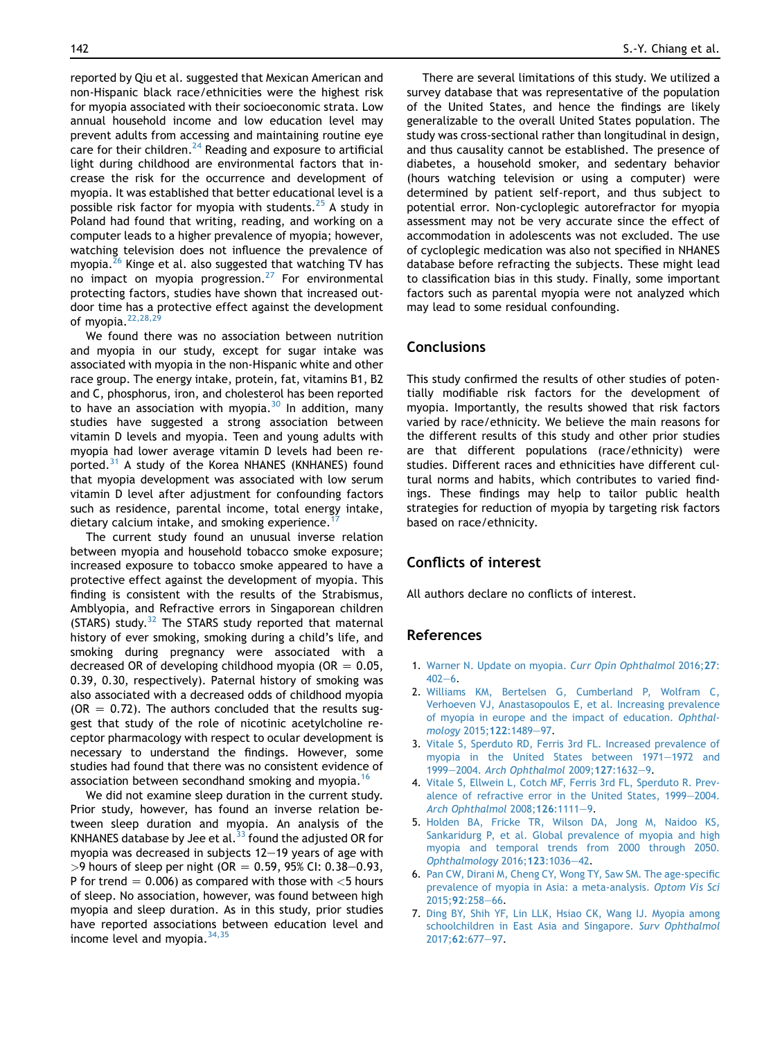<span id="page-8-0"></span>reported by Qiu et al. suggested that Mexican American and non-Hispanic black race/ethnicities were the highest risk for myopia associated with their socioeconomic strata. Low annual household income and low education level may prevent adults from accessing and maintaining routine eye care for their children. $^{24}$  $^{24}$  $^{24}$  Reading and exposure to artificial light during childhood are environmental factors that increase the risk for the occurrence and development of myopia. It was established that better educational level is a possible risk factor for myopia with students.<sup>[25](#page-9-0)</sup> A study in Poland had found that writing, reading, and working on a computer leads to a higher prevalence of myopia; however, watching television does not influence the prevalence of myopia.<sup>26</sup> Kinge et al. also suggested that watching TV has no impact on myopia progression.[27](#page-9-0) For environmental protecting factors, studies have shown that increased outdoor time has a protective effect against the development of myopia. $22,28,29$ 

We found there was no association between nutrition and myopia in our study, except for sugar intake was associated with myopia in the non-Hispanic white and other race group. The energy intake, protein, fat, vitamins B1, B2 and C, phosphorus, iron, and cholesterol has been reported to have an association with myopia. $30$  In addition, many studies have suggested a strong association between vitamin D levels and myopia. Teen and young adults with myopia had lower average vitamin D levels had been re-ported.<sup>[31](#page-9-0)</sup> A study of the Korea NHANES (KNHANES) found that myopia development was associated with low serum vitamin D level after adjustment for confounding factors such as residence, parental income, total energy intake, dietary calcium intake, and smoking experience.<sup>1</sup>

The current study found an unusual inverse relation between myopia and household tobacco smoke exposure; increased exposure to tobacco smoke appeared to have a protective effect against the development of myopia. This finding is consistent with the results of the Strabismus, Amblyopia, and Refractive errors in Singaporean children (STARS) study. $32$  The STARS study reported that maternal history of ever smoking, smoking during a child's life, and smoking during pregnancy were associated with a decreased OR of developing childhood myopia (OR  $= 0.05$ , 0.39, 0.30, respectively). Paternal history of smoking was also associated with a decreased odds of childhood myopia ( $OR = 0.72$ ). The authors concluded that the results suggest that study of the role of nicotinic acetylcholine receptor pharmacology with respect to ocular development is necessary to understand the findings. However, some studies had found that there was no consistent evidence of association between secondhand smoking and myopia.<sup>[16](#page-9-0)</sup>

We did not examine sleep duration in the current study. Prior study, however, has found an inverse relation between sleep duration and myopia. An analysis of the KNHANES database by Jee et al. $33$  found the adjusted OR for myopia was decreased in subjects  $12-19$  years of age with  $>$ 9 hours of sleep per night (OR = 0.59, 95% CI: 0.38–0.93, P for trend  $= 0.006$ ) as compared with those with  $<$ 5 hours of sleep. No association, however, was found between high myopia and sleep duration. As in this study, prior studies have reported associations between education level and income level and myopia.  $34,35$ 

There are several limitations of this study. We utilized a survey database that was representative of the population of the United States, and hence the findings are likely generalizable to the overall United States population. The study was cross-sectional rather than longitudinal in design, and thus causality cannot be established. The presence of diabetes, a household smoker, and sedentary behavior (hours watching television or using a computer) were determined by patient self-report, and thus subject to potential error. Non-cycloplegic autorefractor for myopia assessment may not be very accurate since the effect of accommodation in adolescents was not excluded. The use of cycloplegic medication was also not specified in NHANES database before refracting the subjects. These might lead to classification bias in this study. Finally, some important factors such as parental myopia were not analyzed which may lead to some residual confounding.

# Conclusions

This study confirmed the results of other studies of potentially modifiable risk factors for the development of myopia. Importantly, the results showed that risk factors varied by race/ethnicity. We believe the main reasons for the different results of this study and other prior studies are that different populations (race/ethnicity) were studies. Different races and ethnicities have different cultural norms and habits, which contributes to varied findings. These findings may help to tailor public health strategies for reduction of myopia by targeting risk factors based on race/ethnicity.

# Conflicts of interest

All authors declare no conflicts of interest.

# References

- 1. [Warner N. Update on myopia.](http://refhub.elsevier.com/S0929-6646(18)30171-2/sref1) Curr Opin Ophthalmol 2016;27:  $402 - 6$  $402 - 6$  $402 - 6$ .
- 2. [Williams KM, Bertelsen G, Cumberland P, Wolfram C,](http://refhub.elsevier.com/S0929-6646(18)30171-2/sref2) [Verhoeven VJ, Anastasopoulos E, et al. Increasing prevalence](http://refhub.elsevier.com/S0929-6646(18)30171-2/sref2) [of myopia in europe and the impact of education.](http://refhub.elsevier.com/S0929-6646(18)30171-2/sref2) Ophthal[mology](http://refhub.elsevier.com/S0929-6646(18)30171-2/sref2) 2015;122:1489-[97](http://refhub.elsevier.com/S0929-6646(18)30171-2/sref2).
- 3. [Vitale S, Sperduto RD, Ferris 3rd FL. Increased prevalence of](http://refhub.elsevier.com/S0929-6646(18)30171-2/sref3) [myopia in the United States between 1971](http://refhub.elsevier.com/S0929-6646(18)30171-2/sref3)-[1972 and](http://refhub.elsevier.com/S0929-6646(18)30171-2/sref3) [1999](http://refhub.elsevier.com/S0929-6646(18)30171-2/sref3)-2004. [Arch Ophthalmol](http://refhub.elsevier.com/S0929-6646(18)30171-2/sref3) 200[9](http://refhub.elsevier.com/S0929-6646(18)30171-2/sref3);127:1632-9.
- 4. [Vitale S, Ellwein L, Cotch MF, Ferris 3rd FL, Sperduto R. Prev](http://refhub.elsevier.com/S0929-6646(18)30171-2/sref4)[alence of refractive error in the United States, 1999](http://refhub.elsevier.com/S0929-6646(18)30171-2/sref4)-[2004.](http://refhub.elsevier.com/S0929-6646(18)30171-2/sref4) [Arch Ophthalmol](http://refhub.elsevier.com/S0929-6646(18)30171-2/sref4) 2008;126:1111-[9.](http://refhub.elsevier.com/S0929-6646(18)30171-2/sref4)
- 5. [Holden BA, Fricke TR, Wilson DA, Jong M, Naidoo KS,](http://refhub.elsevier.com/S0929-6646(18)30171-2/sref5) [Sankaridurg P, et al. Global prevalence of myopia and high](http://refhub.elsevier.com/S0929-6646(18)30171-2/sref5) [myopia and temporal trends from 2000 through 2050.](http://refhub.elsevier.com/S0929-6646(18)30171-2/sref5) [Ophthalmology](http://refhub.elsevier.com/S0929-6646(18)30171-2/sref5) 2016;123:1036-[42](http://refhub.elsevier.com/S0929-6646(18)30171-2/sref5).
- 6. [Pan CW, Dirani M, Cheng CY, Wong TY, Saw SM. The age-specific](http://refhub.elsevier.com/S0929-6646(18)30171-2/sref6) [prevalence of myopia in Asia: a meta-analysis.](http://refhub.elsevier.com/S0929-6646(18)30171-2/sref6) Optom Vis Sci [2015;](http://refhub.elsevier.com/S0929-6646(18)30171-2/sref6)92:258-[66](http://refhub.elsevier.com/S0929-6646(18)30171-2/sref6).
- 7. [Ding BY, Shih YF, Lin LLK, Hsiao CK, Wang IJ. Myopia among](http://refhub.elsevier.com/S0929-6646(18)30171-2/sref7) [schoolchildren in East Asia and Singapore.](http://refhub.elsevier.com/S0929-6646(18)30171-2/sref7) Surv Ophthalmol [2017;](http://refhub.elsevier.com/S0929-6646(18)30171-2/sref7)62:677-[97](http://refhub.elsevier.com/S0929-6646(18)30171-2/sref7).